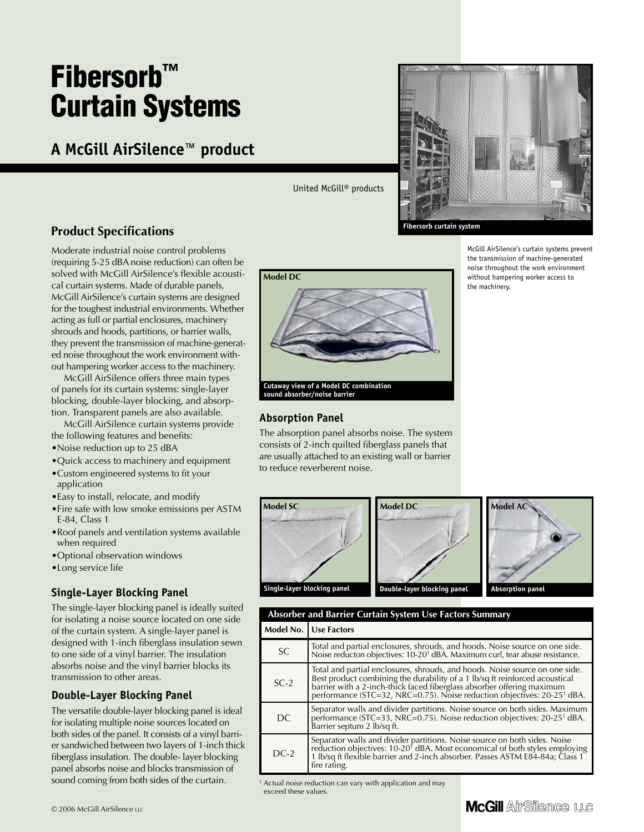# **Fibersorb™ Curtain Systems**

**A McGill AirSilence™ product**



United McGill® products

# **Product Specifications**

Moderate industrial noise control problems (requiring 5-25 dBA noise reduction) can often be solved with McGill AirSilence's flexible acoustical curtain systems. Made of durable panels, McGill AirSilence's curtain systems are designed for the toughest industrial environments. Whether acting as full or partial enclosures, machinery shrouds and hoods, partitions, or barrier walls, they prevent the transmission of machine-generated noise throughout the work environment without hampering worker access to the machinery.

McGill AirSilence offers three main types of panels for its curtain systems: single-layer blocking, double-layer blocking, and absorption. Transparent panels are also available.

McGill AirSilence curtain systems provide the following features and benefits:

- Noise reduction up to 25 dBA
- •Quick access to machinery and equipment
- •Custom engineered systems to fit your application
- •Easy to install, relocate, and modify
- •Fire safe with low smoke emissions per ASTM E-84, Class 1
- •Roof panels and ventilation systems available when required
- •Optional observation windows
- •Long service life

# **Single-Layer Blocking Panel**

The single-layer blocking panel is ideally suited for isolating a noise source located on one side of the curtain system. A single-layer panel is designed with 1-inch fiberglass insulation sewn to one side of a vinyl barrier. The insulation absorbs noise and the vinyl barrier blocks its transmission to other areas.

# **Double-Layer Blocking Panel**

The versatile double-layer blocking panel is ideal for isolating multiple noise sources located on both sides of the panel. It consists of a vinyl barrier sandwiched between two layers of 1-inch thick fiberglass insulation. The double- layer blocking panel absorbs noise and blocks transmission of sound coming from both sides of the curtain.



#### **Absorption Panel**

The absorption panel absorbs noise. The system consists of 2-inch quilted fiberglass panels that are usually attached to an existing wall or barrier to reduce reverberent noise.

McGill AirSilence's curtain systems prevent the transmission of machine-generated noise throughout the work environment without hampering worker access to the machinery.



#### **Absorber and Barrier Curtain System Use Factors Summary**

|  |           | Model No.   Use Factors                                                                                                                                                                                                                              |
|--|-----------|------------------------------------------------------------------------------------------------------------------------------------------------------------------------------------------------------------------------------------------------------|
|  | <b>SC</b> | Total and partial enclosures, shrouds, and hoods. Noise source on one side.<br>Noise reducton objectives: 10-20 <sup>1</sup> dBA. Maximum curl, tear abuse resistance.                                                                               |
|  | $SC-2$    | Total and partial enclosures, shrouds, and hoods. Noise source on one side.<br>Best product combining the durability of a 1 lb/sq ft reinforced acoustical<br>barrier with a 2-inch-thick faced fiberglass absorber offering maximum                 |
|  | DC        | Separator walls and divider partitions. Noise source on both sides. Maximum performance (STC=33, NRC=0.75). Noise reduction objectives: 20-25 <sup>1</sup> dBA.<br>Barrier septum 2 lb/sq ft.                                                        |
|  | $DC-2$    | Separator walls and divider partitions. Noise source on both sides. Noise<br>reduction objectives: 10-20' dBA. Most economical of both styles employing<br>1 lb/sq ft flexible barrier and 2-inch absorber. Passes ASTM E84-84a; Cla<br>fire rating. |

<sup>1</sup> Actual noise reduction can vary with application and may exceed these values.